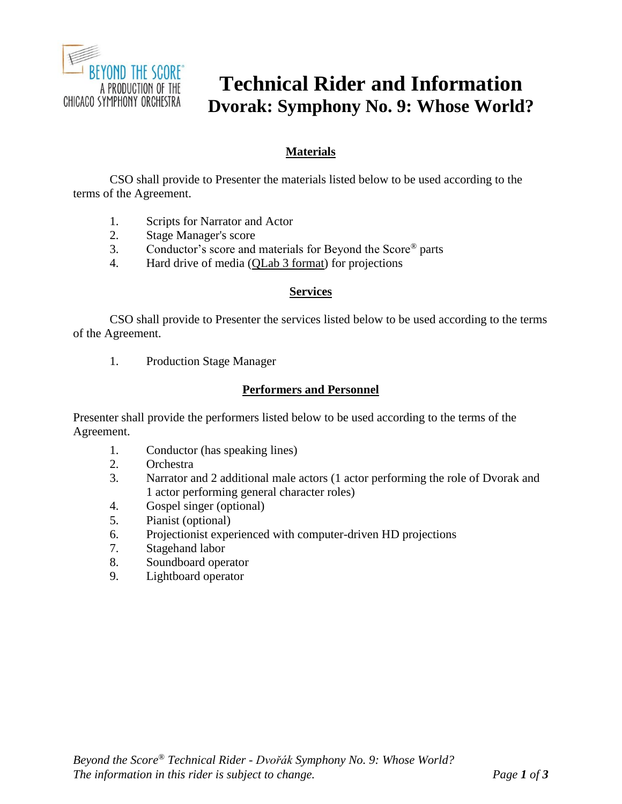

# **Technical Rider and Information Dvorak: Symphony No. 9: Whose World?**

## **Materials**

CSO shall provide to Presenter the materials listed below to be used according to the terms of the Agreement.

- 1. Scripts for Narrator and Actor
- 2. Stage Manager's score
- 3. Conductor's score and materials for Beyond the Score® parts
- 4. Hard drive of media (QLab 3 format) for projections

#### **Services**

CSO shall provide to Presenter the services listed below to be used according to the terms of the Agreement.

1. Production Stage Manager

## **Performers and Personnel**

Presenter shall provide the performers listed below to be used according to the terms of the Agreement.

- 1. Conductor (has speaking lines)
- 2. Orchestra
- 3. Narrator and 2 additional male actors (1 actor performing the role of Dvorak and 1 actor performing general character roles)
- 4. Gospel singer (optional)
- 5. Pianist (optional)
- 6. Projectionist experienced with computer-driven HD projections
- 7. Stagehand labor
- 8. Soundboard operator
- 9. Lightboard operator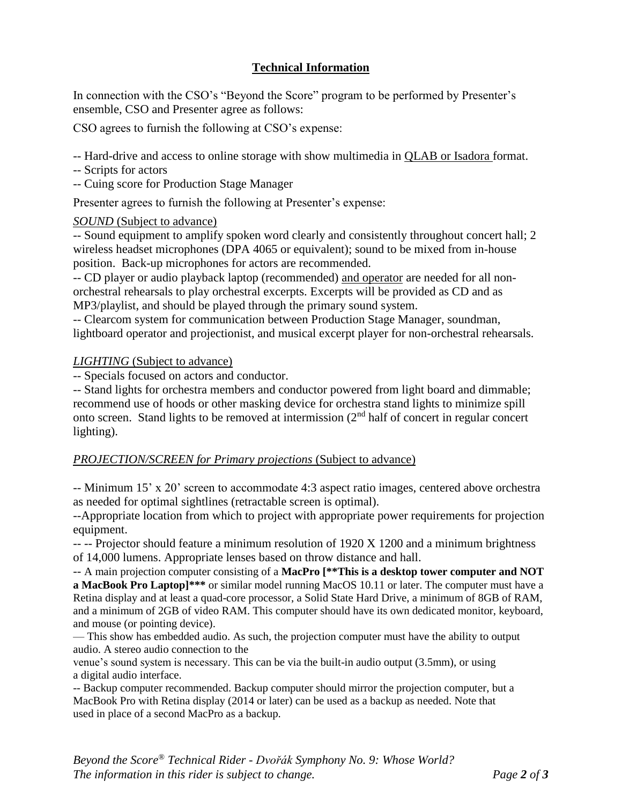## **Technical Information**

In connection with the CSO's "Beyond the Score" program to be performed by Presenter's ensemble, CSO and Presenter agree as follows:

CSO agrees to furnish the following at CSO's expense:

-- Hard-drive and access to online storage with show multimedia in QLAB or Isadora format.

- -- Scripts for actors
- -- Cuing score for Production Stage Manager

Presenter agrees to furnish the following at Presenter's expense:

## *SOUND* (Subject to advance)

-- Sound equipment to amplify spoken word clearly and consistently throughout concert hall; 2 wireless headset microphones (DPA 4065 or equivalent); sound to be mixed from in-house position. Back-up microphones for actors are recommended.

-- CD player or audio playback laptop (recommended) and operator are needed for all nonorchestral rehearsals to play orchestral excerpts. Excerpts will be provided as CD and as MP3/playlist, and should be played through the primary sound system.

-- Clearcom system for communication between Production Stage Manager, soundman, lightboard operator and projectionist, and musical excerpt player for non-orchestral rehearsals.

## *LIGHTING* (Subject to advance)

-- Specials focused on actors and conductor.

-- Stand lights for orchestra members and conductor powered from light board and dimmable; recommend use of hoods or other masking device for orchestra stand lights to minimize spill onto screen. Stand lights to be removed at intermission (2nd half of concert in regular concert lighting).

## *PROJECTION/SCREEN for Primary projections* (Subject to advance)

-- Minimum 15' x 20' screen to accommodate 4:3 aspect ratio images, centered above orchestra as needed for optimal sightlines (retractable screen is optimal).

--Appropriate location from which to project with appropriate power requirements for projection equipment.

-- -- Projector should feature a minimum resolution of 1920 X 1200 and a minimum brightness of 14,000 lumens. Appropriate lenses based on throw distance and hall.

-- A main projection computer consisting of a **MacPro [\*\*This is a desktop tower computer and NOT a MacBook Pro Laptop]\*\*\*** or similar model running MacOS 10.11 or later. The computer must have a Retina display and at least a quad-core processor, a Solid State Hard Drive, a minimum of 8GB of RAM, and a minimum of 2GB of video RAM. This computer should have its own dedicated monitor, keyboard, and mouse (or pointing device).

— This show has embedded audio. As such, the projection computer must have the ability to output audio. A stereo audio connection to the

venue's sound system is necessary. This can be via the built-in audio output (3.5mm), or using a digital audio interface.

-- Backup computer recommended. Backup computer should mirror the projection computer, but a MacBook Pro with Retina display (2014 or later) can be used as a backup as needed. Note that used in place of a second MacPro as a backup.